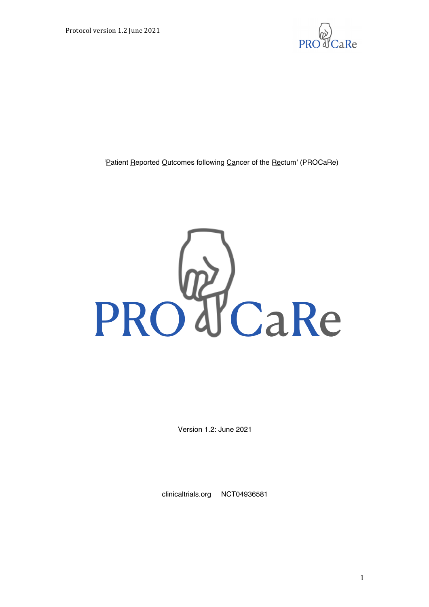

'Patient Reported Outcomes following Cancer of the Rectum' (PROCaRe)



Version 1.2: June 2021

clinicaltrials.org NCT04936581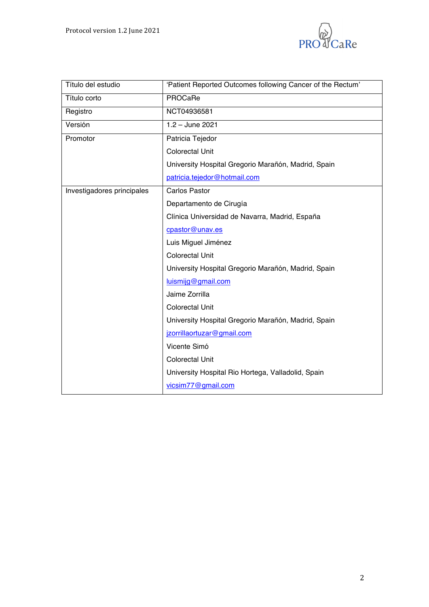

| Título del estudio         | 'Patient Reported Outcomes following Cancer of the Rectum' |
|----------------------------|------------------------------------------------------------|
| Título corto               | PROCaRe                                                    |
| Registro                   | NCT04936581                                                |
| Versión                    | $1.2 -$ June 2021                                          |
| Promotor                   | Patricia Tejedor                                           |
|                            | <b>Colorectal Unit</b>                                     |
|                            | University Hospital Gregorio Marañón, Madrid, Spain        |
|                            | patricia.tejedor@hotmail.com                               |
| Investigadores principales | <b>Carlos Pastor</b>                                       |
|                            | Departamento de Cirugía                                    |
|                            | Clínica Universidad de Navarra, Madrid, España             |
|                            | cpastor@unav.es                                            |
|                            | Luis Miguel Jiménez                                        |
|                            | <b>Colorectal Unit</b>                                     |
|                            | University Hospital Gregorio Marañón, Madrid, Spain        |
|                            | luismijg@gmail.com                                         |
|                            | Jaime Zorrilla                                             |
|                            | <b>Colorectal Unit</b>                                     |
|                            | University Hospital Gregorio Marañón, Madrid, Spain        |
|                            | jzorrillaortuzar@gmail.com                                 |
|                            | Vicente Simó                                               |
|                            | <b>Colorectal Unit</b>                                     |
|                            | University Hospital Rio Hortega, Valladolid, Spain         |
|                            | vicsim77@gmail.com                                         |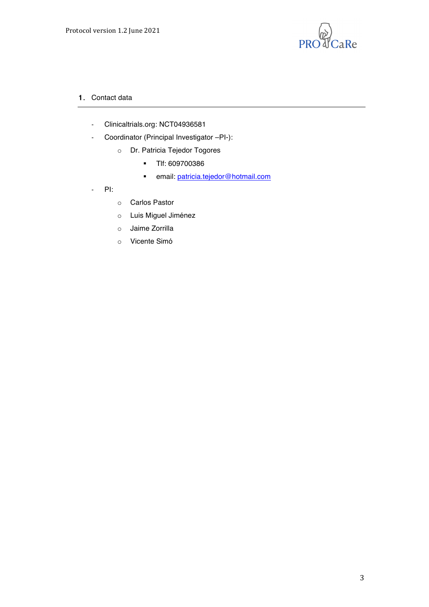

- 1. Contact data
	- Clinicaltrials.org: NCT04936581
	- Coordinator (Principal Investigator –PI-):
		- o Dr. Patricia Tejedor Togores
			- ! Tlf: 609700386
			- **.** email: patricia.tejedor@hotmail.com
	- PI:
- o Carlos Pastor
- o Luis Miguel Jiménez
- o Jaime Zorrilla
- o Vicente Simó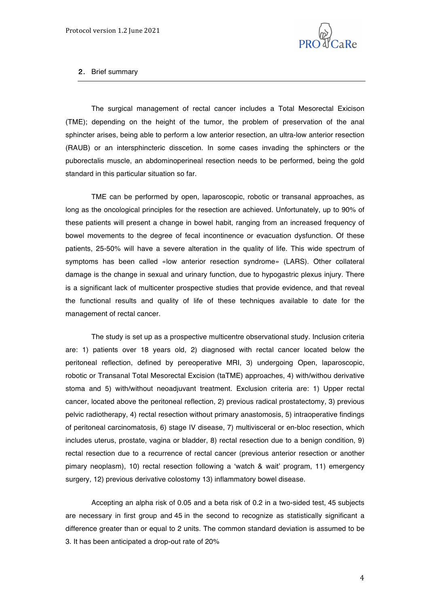

#### 2. Brief summary

The surgical management of rectal cancer includes a Total Mesorectal Exicison (TME); depending on the height of the tumor, the problem of preservation of the anal sphincter arises, being able to perform a low anterior resection, an ultra-low anterior resection (RAUB) or an intersphincteric disscetion. In some cases invading the sphincters or the puborectalis muscle, an abdominoperineal resection needs to be performed, being the gold standard in this particular situation so far.

TME can be performed by open, laparoscopic, robotic or transanal approaches, as long as the oncological principles for the resection are achieved. Unfortunately, up to 90% of these patients will present a change in bowel habit, ranging from an increased frequency of bowel movements to the degree of fecal incontinence or evacuation dysfunction. Of these patients, 25-50% will have a severe alteration in the quality of life. This wide spectrum of symptoms has been called «low anterior resection syndrome» (LARS). Other collateral damage is the change in sexual and urinary function, due to hypogastric plexus injury. There is a significant lack of multicenter prospective studies that provide evidence, and that reveal the functional results and quality of life of these techniques available to date for the management of rectal cancer.

The study is set up as a prospective multicentre observational study. Inclusion criteria are: 1) patients over 18 years old, 2) diagnosed with rectal cancer located below the peritoneal reflection, defined by pereoperative MRI, 3) undergoing Open, laparoscopic, robotic or Transanal Total Mesorectal Excision (taTME) approaches, 4) with/withou derivative stoma and 5) with/without neoadjuvant treatment. Exclusion criteria are: 1) Upper rectal cancer, located above the peritoneal reflection, 2) previous radical prostatectomy, 3) previous pelvic radiotherapy, 4) rectal resection without primary anastomosis, 5) intraoperative findings of peritoneal carcinomatosis, 6) stage IV disease, 7) multivisceral or en-bloc resection, which includes uterus, prostate, vagina or bladder, 8) rectal resection due to a benign condition, 9) rectal resection due to a recurrence of rectal cancer (previous anterior resection or another pimary neoplasm), 10) rectal resection following a 'watch & wait' program, 11) emergency surgery, 12) previous derivative colostomy 13) inflammatory bowel disease.

Accepting an alpha risk of 0.05 and a beta risk of 0.2 in a two-sided test, 45 subjects are necessary in first group and 45 in the second to recognize as statistically significant a difference greater than or equal to 2 units. The common standard deviation is assumed to be 3. It has been anticipated a drop-out rate of 20%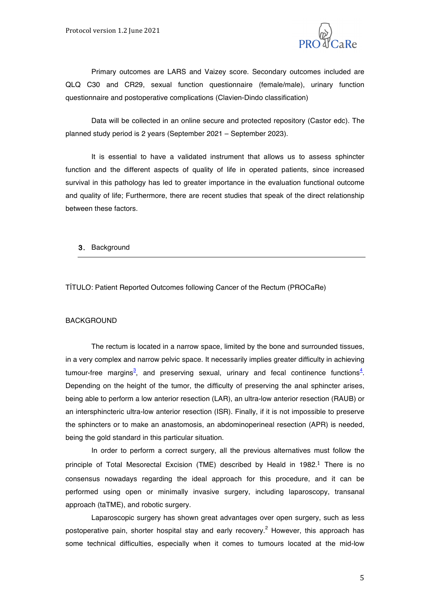

Primary outcomes are LARS and Vaizey score. Secondary outcomes included are QLQ C30 and CR29, sexual function questionnaire (female/male), urinary function questionnaire and postoperative complications (Clavien-Dindo classification)

Data will be collected in an online secure and protected repository (Castor edc). The planned study period is 2 years (September 2021 – September 2023).

It is essential to have a validated instrument that allows us to assess sphincter function and the different aspects of quality of life in operated patients, since increased survival in this pathology has led to greater importance in the evaluation functional outcome and quality of life; Furthermore, there are recent studies that speak of the direct relationship between these factors.

#### 3. Background

TÍTULO: Patient Reported Outcomes following Cancer of the Rectum (PROCaRe)

#### BACKGROUND

The rectum is located in a narrow space, limited by the bone and surrounded tissues, in a very complex and narrow pelvic space. It necessarily implies greater difficulty in achieving tumour-free margins<sup>3</sup>, and preserving sexual, urinary and fecal continence functions<sup>4</sup>. Depending on the height of the tumor, the difficulty of preserving the anal sphincter arises, being able to perform a low anterior resection (LAR), an ultra-low anterior resection (RAUB) or an intersphincteric ultra-low anterior resection (ISR). Finally, if it is not impossible to preserve the sphincters or to make an anastomosis, an abdominoperineal resection (APR) is needed, being the gold standard in this particular situation.

In order to perform a correct surgery, all the previous alternatives must follow the principle of Total Mesorectal Excision (TME) described by Heald in 1982.<sup>1</sup> There is no consensus nowadays regarding the ideal approach for this procedure, and it can be performed using open or minimally invasive surgery, including laparoscopy, transanal approach (taTME), and robotic surgery.

Laparoscopic surgery has shown great advantages over open surgery, such as less postoperative pain, shorter hospital stay and early recovery.<sup>2</sup> However, this approach has some technical difficulties, especially when it comes to tumours located at the mid-low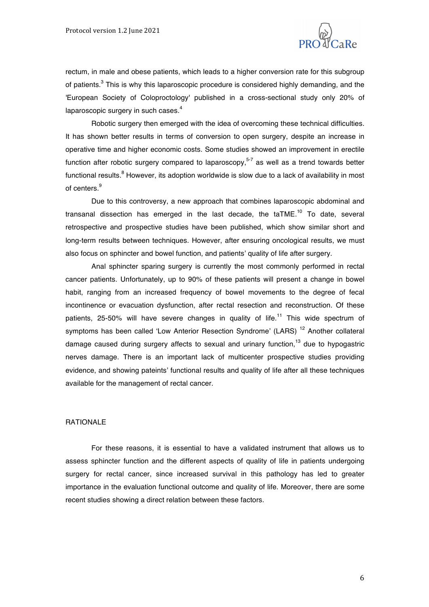

rectum, in male and obese patients, which leads to a higher conversion rate for this subgroup of patients.<sup>3</sup> This is why this laparoscopic procedure is considered highly demanding, and the 'European Society of Coloproctology' published in a cross-sectional study only 20% of laparoscopic surgery in such cases. $^{\rm 4}$ 

Robotic surgery then emerged with the idea of overcoming these technical difficulties. It has shown better results in terms of conversion to open surgery, despite an increase in operative time and higher economic costs. Some studies showed an improvement in erectile function after robotic surgery compared to laparoscopy,<sup>5-7</sup> as well as a trend towards better functional results.<sup>8</sup> However, its adoption worldwide is slow due to a lack of availability in most of centers. 9

Due to this controversy, a new approach that combines laparoscopic abdominal and transanal dissection has emerged in the last decade, the taTME.<sup>10</sup> To date, several retrospective and prospective studies have been published, which show similar short and long-term results between techniques. However, after ensuring oncological results, we must also focus on sphincter and bowel function, and patients' quality of life after surgery.

Anal sphincter sparing surgery is currently the most commonly performed in rectal cancer patients. Unfortunately, up to 90% of these patients will present a change in bowel habit, ranging from an increased frequency of bowel movements to the degree of fecal incontinence or evacuation dysfunction, after rectal resection and reconstruction. Of these patients, 25-50% will have severe changes in quality of life.<sup>11</sup> This wide spectrum of symptoms has been called 'Low Anterior Resection Syndrome' (LARS)<sup>12</sup> Another collateral damage caused during surgery affects to sexual and urinary function,<sup>13</sup> due to hypogastric nerves damage. There is an important lack of multicenter prospective studies providing evidence, and showing pateints' functional results and quality of life after all these techniques available for the management of rectal cancer.

#### **RATIONALE**

For these reasons, it is essential to have a validated instrument that allows us to assess sphincter function and the different aspects of quality of life in patients undergoing surgery for rectal cancer, since increased survival in this pathology has led to greater importance in the evaluation functional outcome and quality of life. Moreover, there are some recent studies showing a direct relation between these factors.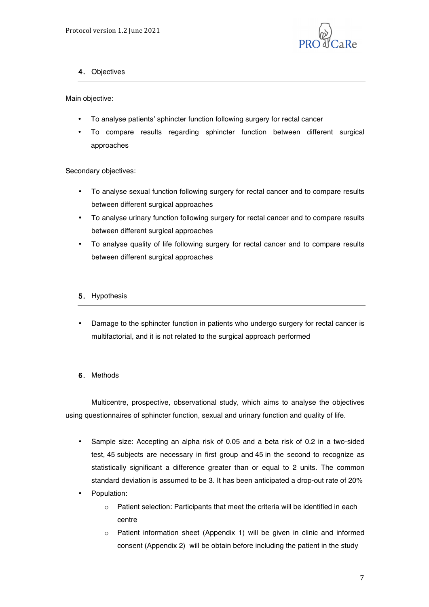

## 4. Objectives

Main objective:

- To analyse patients' sphincter function following surgery for rectal cancer
- To compare results regarding sphincter function between different surgical approaches

Secondary objectives:

- To analyse sexual function following surgery for rectal cancer and to compare results between different surgical approaches
- To analyse urinary function following surgery for rectal cancer and to compare results between different surgical approaches
- To analyse quality of life following surgery for rectal cancer and to compare results between different surgical approaches

### 5. Hypothesis

• Damage to the sphincter function in patients who undergo surgery for rectal cancer is multifactorial, and it is not related to the surgical approach performed

### 6. Methods

Multicentre, prospective, observational study, which aims to analyse the objectives using questionnaires of sphincter function, sexual and urinary function and quality of life.

- Sample size: Accepting an alpha risk of 0.05 and a beta risk of 0.2 in a two-sided test, 45 subjects are necessary in first group and 45 in the second to recognize as statistically significant a difference greater than or equal to 2 units. The common standard deviation is assumed to be 3. It has been anticipated a drop-out rate of 20%
- Population:
	- o Patient selection: Participants that meet the criteria will be identified in each centre
	- o Patient information sheet (Appendix 1) will be given in clinic and informed consent (Appendix 2) will be obtain before including the patient in the study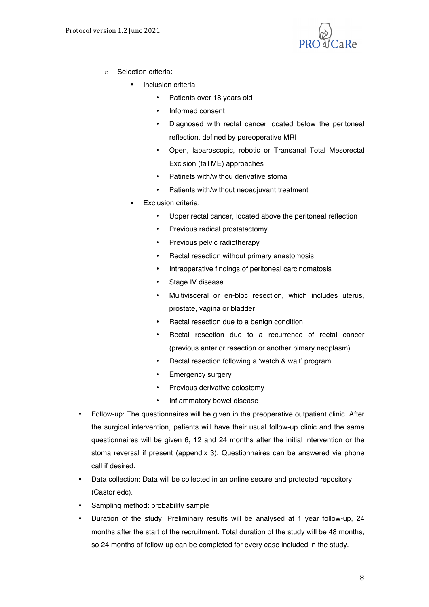

- o Selection criteria:
	- Inclusion criteria
		- Patients over 18 years old
		- Informed consent
		- Diagnosed with rectal cancer located below the peritoneal reflection, defined by pereoperative MRI
		- Open, laparoscopic, robotic or Transanal Total Mesorectal Excision (taTME) approaches
		- Patinets with/withou derivative stoma
		- Patients with/without neoadjuvant treatment
	- Exclusion criteria:
		- Upper rectal cancer, located above the peritoneal reflection
		- Previous radical prostatectomy
		- Previous pelvic radiotherapy
		- Rectal resection without primary anastomosis
		- Intraoperative findings of peritoneal carcinomatosis
		- Stage IV disease
		- Multivisceral or en-bloc resection, which includes uterus, prostate, vagina or bladder
		- Rectal resection due to a benign condition
		- Rectal resection due to a recurrence of rectal cancer (previous anterior resection or another pimary neoplasm)
		- Rectal resection following a 'watch & wait' program
		- Emergency surgery
		- Previous derivative colostomy
		- Inflammatory bowel disease
- Follow-up: The questionnaires will be given in the preoperative outpatient clinic. After the surgical intervention, patients will have their usual follow-up clinic and the same questionnaires will be given 6, 12 and 24 months after the initial intervention or the stoma reversal if present (appendix 3). Questionnaires can be answered via phone call if desired.
- Data collection: Data will be collected in an online secure and protected repository (Castor edc).
- Sampling method: probability sample
- Duration of the study: Preliminary results will be analysed at 1 year follow-up, 24 months after the start of the recruitment. Total duration of the study will be 48 months, so 24 months of follow-up can be completed for every case included in the study.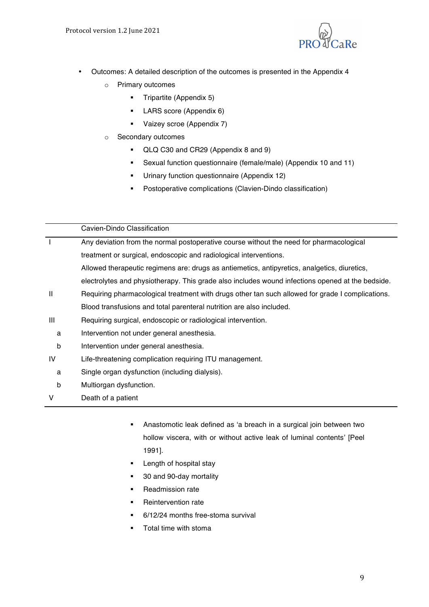

- Outcomes: A detailed description of the outcomes is presented in the Appendix 4
	- o Primary outcomes
		- ! Tripartite (Appendix 5)
		- **-** LARS score (Appendix 6)
		- ! Vaizey scroe (Appendix 7)
	- o Secondary outcomes
		- ! QLQ C30 and CR29 (Appendix 8 and 9)
		- ! Sexual function questionnaire (female/male) (Appendix 10 and 11)
		- ! Urinary function questionnaire (Appendix 12)
		- ! Postoperative complications (Clavien-Dindo classification)

|              | Cavien-Dindo Classification                                                                      |
|--------------|--------------------------------------------------------------------------------------------------|
|              | Any deviation from the normal postoperative course without the need for pharmacological          |
|              | treatment or surgical, endoscopic and radiological interventions.                                |
|              | Allowed therapeutic regimens are: drugs as antiemetics, antipyretics, analgetics, diuretics,     |
|              | electrolytes and physiotherapy. This grade also includes wound infections opened at the bedside. |
| $\mathbf{H}$ | Requiring pharmacological treatment with drugs other tan such allowed for grade I complications. |
|              | Blood transfusions and total parenteral nutrition are also included.                             |
| Ш            | Requiring surgical, endoscopic or radiological intervention.                                     |
| a            | Intervention not under general anesthesia.                                                       |
| b            | Intervention under general anesthesia.                                                           |
| IV           | Life-threatening complication requiring ITU management.                                          |
| a            | Single organ dysfunction (including dialysis).                                                   |
| b            | Multiorgan dysfunction.                                                                          |
| V            | Death of a patient                                                                               |

- ! Anastomotic leak defined as 'a breach in a surgical join between two hollow viscera, with or without active leak of luminal contents' [Peel 1991].
- **Example 1** Length of hospital stay
- 30 and 90-day mortality
- **E.** Readmission rate
- **EXECUTE:** Reintervention rate
- ! 6/12/24 months free-stoma survival
- Total time with stoma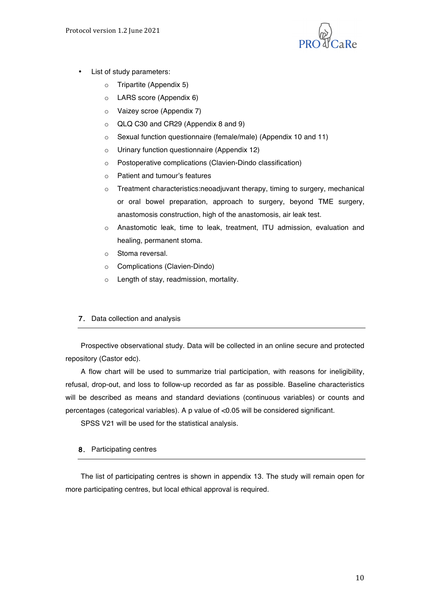

- List of study parameters:
	- o Tripartite (Appendix 5)
	- o LARS score (Appendix 6)
	- o Vaizey scroe (Appendix 7)
	- o QLQ C30 and CR29 (Appendix 8 and 9)
	- o Sexual function questionnaire (female/male) (Appendix 10 and 11)
	- o Urinary function questionnaire (Appendix 12)
	- o Postoperative complications (Clavien-Dindo classification)
	- o Patient and tumour's features
	- o Treatment characteristics:neoadjuvant therapy, timing to surgery, mechanical or oral bowel preparation, approach to surgery, beyond TME surgery, anastomosis construction, high of the anastomosis, air leak test.
	- o Anastomotic leak, time to leak, treatment, ITU admission, evaluation and healing, permanent stoma.
	- o Stoma reversal.
	- o Complications (Clavien-Dindo)
	- o Length of stay, readmission, mortality.

## 7. Data collection and analysis

Prospective observational study. Data will be collected in an online secure and protected repository (Castor edc).

A flow chart will be used to summarize trial participation, with reasons for ineligibility, refusal, drop-out, and loss to follow-up recorded as far as possible. Baseline characteristics will be described as means and standard deviations (continuous variables) or counts and percentages (categorical variables). A p value of <0.05 will be considered significant.

SPSS V21 will be used for the statistical analysis.

### 8. Participating centres

The list of participating centres is shown in appendix 13. The study will remain open for more participating centres, but local ethical approval is required.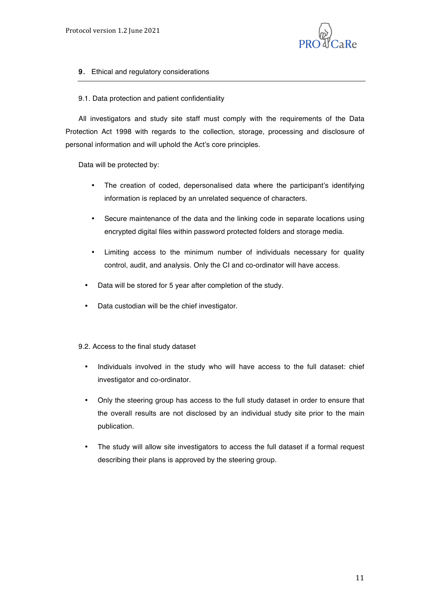

## 9. Ethical and regulatory considerations

### 9.1. Data protection and patient confidentiality

All investigators and study site staff must comply with the requirements of the Data Protection Act 1998 with regards to the collection, storage, processing and disclosure of personal information and will uphold the Act's core principles.

Data will be protected by:

- The creation of coded, depersonalised data where the participant's identifying information is replaced by an unrelated sequence of characters.
- Secure maintenance of the data and the linking code in separate locations using encrypted digital files within password protected folders and storage media.
- Limiting access to the minimum number of individuals necessary for quality control, audit, and analysis. Only the CI and co-ordinator will have access.
- Data will be stored for 5 year after completion of the study.
- Data custodian will be the chief investigator.

### 9.2. Access to the final study dataset

- Individuals involved in the study who will have access to the full dataset: chief investigator and co-ordinator.
- Only the steering group has access to the full study dataset in order to ensure that the overall results are not disclosed by an individual study site prior to the main publication.
- The study will allow site investigators to access the full dataset if a formal request describing their plans is approved by the steering group.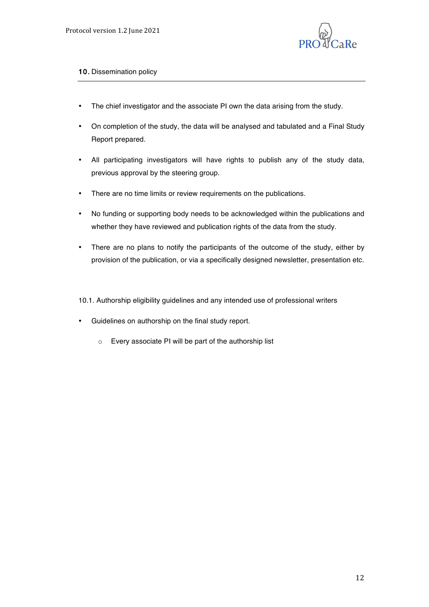

## 10. Dissemination policy

- The chief investigator and the associate PI own the data arising from the study.
- On completion of the study, the data will be analysed and tabulated and a Final Study Report prepared.
- All participating investigators will have rights to publish any of the study data, previous approval by the steering group.
- There are no time limits or review requirements on the publications.
- No funding or supporting body needs to be acknowledged within the publications and whether they have reviewed and publication rights of the data from the study.
- There are no plans to notify the participants of the outcome of the study, either by provision of the publication, or via a specifically designed newsletter, presentation etc.
- 10.1. Authorship eligibility guidelines and any intended use of professional writers
- Guidelines on authorship on the final study report.
	- o Every associate PI will be part of the authorship list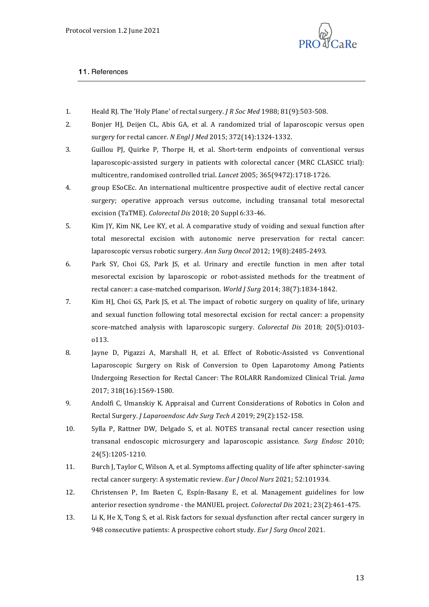

## 11. References

- 1. Heald RJ. The 'Holy Plane' of rectal surgery. *J R Soc Med* 1988; 81(9):503-508.
- 2. Bonjer HJ, Deijen CL, Abis GA, et al. A randomized trial of laparoscopic versus open surgery for rectal cancer. *N Engl J Med* 2015; 372(14):1324-1332.
- 3. Guillou PJ, Quirke P, Thorpe H, et al. Short-term endpoints of conventional versus laparoscopic-assisted surgery in patients with colorectal cancer (MRC CLASICC trial): multicentre, randomised controlled trial. *Lancet* 2005; 365(9472):1718-1726.
- 4. group ESoCEc. An international multicentre prospective audit of elective rectal cancer surgery; operative approach versus outcome, including transanal total mesorectal excision (TaTME). *Colorectal Dis* 2018; 20 Suppl 6:33-46.
- 5. Kim IY, Kim NK, Lee KY, et al. A comparative study of voiding and sexual function after total mesorectal excision with autonomic nerve preservation for rectal cancer: laparoscopic versus robotic surgery. Ann Surg Oncol 2012; 19(8):2485-2493.
- 6. Park SY, Choi GS, Park JS, et al. Urinary and erectile function in men after total mesorectal excision by laparoscopic or robot-assisted methods for the treatment of rectal cancer: a case-matched comparison. *World I Sura* 2014: 38(7):1834-1842.
- 7. Kim HJ, Choi GS, Park JS, et al. The impact of robotic surgery on quality of life, urinary and sexual function following total mesorectal excision for rectal cancer: a propensity score-matched analysis with laparoscopic surgery. *Colorectal Dis* 2018; 20(5):0103o113.
- 8. Jayne D, Pigazzi A, Marshall H, et al. Effect of Robotic-Assisted vs Conventional Laparoscopic Surgery on Risk of Conversion to Open Laparotomy Among Patients Undergoing Resection for Rectal Cancer: The ROLARR Randomized Clinical Trial. *Jama* 2017; 318(16):1569-1580.
- 9. Andolfi C, Umanskiy K. Appraisal and Current Considerations of Robotics in Colon and Rectal Surgery. *J Laparoendosc Adv Surg Tech A* 2019; 29(2):152-158.
- 10. Sylla P, Rattner DW, Delgado S, et al. NOTES transanal rectal cancer resection using transanal endoscopic microsurgery and laparoscopic assistance. *Surg Endosc* 2010; 24(5):1205-1210.
- 11. Burch J, Taylor C, Wilson A, et al. Symptoms affecting quality of life after sphincter-saving rectal cancer surgery: A systematic review. *Eur J Oncol Nurs* 2021; 52:101934.
- 12. Christensen P, Im Baeten C, Espín-Basany E, et al. Management guidelines for low anterior resection syndrome - the MANUEL project. *Colorectal Dis* 2021; 23(2):461-475.
- 13. Li K, He X, Tong S, et al. Risk factors for sexual dysfunction after rectal cancer surgery in 948 consecutive patients: A prospective cohort study. *Eur J Surg Oncol* 2021.